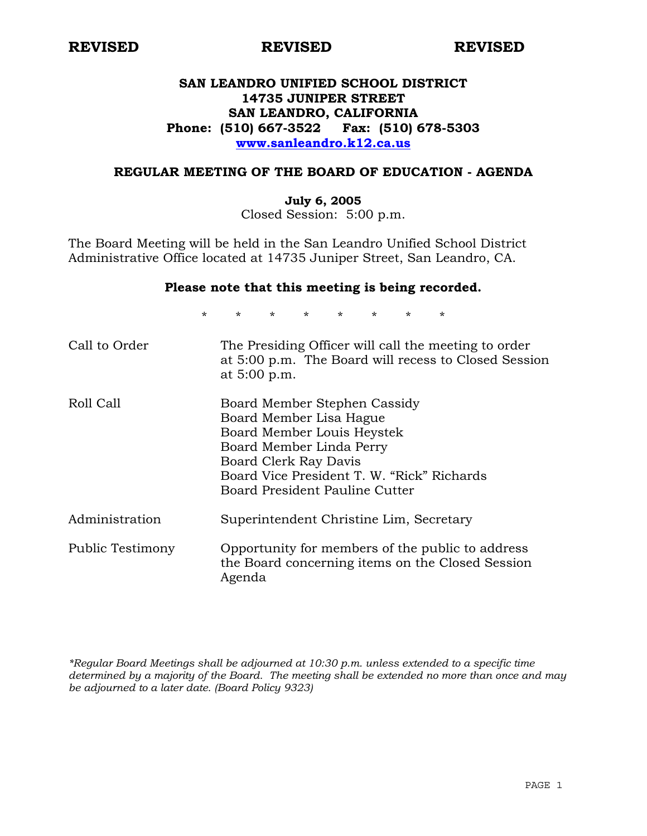# **SAN LEANDRO UNIFIED SCHOOL DISTRICT 14735 JUNIPER STREET SAN LEANDRO, CALIFORNIA Phone: (510) 667-3522 Fax: (510) 678-5303 www.sanleandro.k12.ca.us**

#### **REGULAR MEETING OF THE BOARD OF EDUCATION - AGENDA**

#### **July 6, 2005**

Closed Session: 5:00 p.m.

The Board Meeting will be held in the San Leandro Unified School District Administrative Office located at 14735 Juniper Street, San Leandro, CA.

#### **Please note that this meeting is being recorded.**

\* \* \* \* \* \* \* \*

| Call to Order    | The Presiding Officer will call the meeting to order<br>at 5:00 p.m. The Board will recess to Closed Session<br>at 5:00 p.m.                                                                                               |
|------------------|----------------------------------------------------------------------------------------------------------------------------------------------------------------------------------------------------------------------------|
| Roll Call        | Board Member Stephen Cassidy<br>Board Member Lisa Hague<br>Board Member Louis Heystek<br>Board Member Linda Perry<br>Board Clerk Ray Davis<br>Board Vice President T. W. "Rick" Richards<br>Board President Pauline Cutter |
| Administration   | Superintendent Christine Lim, Secretary                                                                                                                                                                                    |
| Public Testimony | Opportunity for members of the public to address<br>the Board concerning items on the Closed Session<br>Agenda                                                                                                             |

*\*Regular Board Meetings shall be adjourned at 10:30 p.m. unless extended to a specific time determined by a majority of the Board. The meeting shall be extended no more than once and may be adjourned to a later date. (Board Policy 9323)*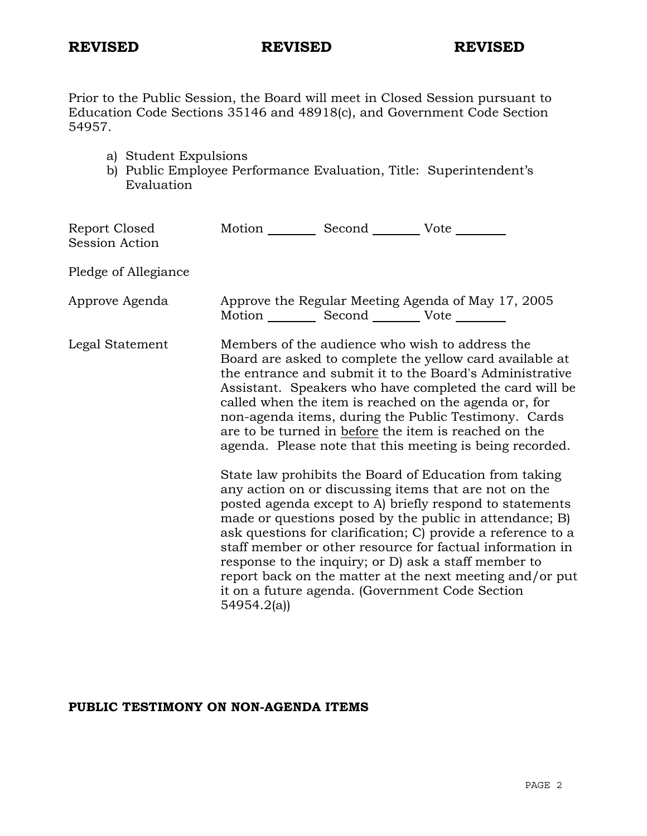Prior to the Public Session, the Board will meet in Closed Session pursuant to Education Code Sections 35146 and 48918(c), and Government Code Section 54957.

- a) Student Expulsions
- b) Public Employee Performance Evaluation, Title: Superintendent's Evaluation

| Report Closed<br>Session Action | Motion __________ Second __________ Vote ________             |                                                                                                                                                                                                                                                                                                                                                                                                                                                                                         |
|---------------------------------|---------------------------------------------------------------|-----------------------------------------------------------------------------------------------------------------------------------------------------------------------------------------------------------------------------------------------------------------------------------------------------------------------------------------------------------------------------------------------------------------------------------------------------------------------------------------|
| Pledge of Allegiance            |                                                               |                                                                                                                                                                                                                                                                                                                                                                                                                                                                                         |
| Approve Agenda                  | Motion ___________ Second ____________ Vote _________         | Approve the Regular Meeting Agenda of May 17, 2005                                                                                                                                                                                                                                                                                                                                                                                                                                      |
| Legal Statement                 |                                                               | Members of the audience who wish to address the<br>Board are asked to complete the yellow card available at<br>the entrance and submit it to the Board's Administrative<br>Assistant. Speakers who have completed the card will be<br>called when the item is reached on the agenda or, for<br>non-agenda items, during the Public Testimony. Cards<br>are to be turned in before the item is reached on the<br>agenda. Please note that this meeting is being recorded.                |
|                                 | it on a future agenda. (Government Code Section<br>54954.2(a) | State law prohibits the Board of Education from taking<br>any action on or discussing items that are not on the<br>posted agenda except to A) briefly respond to statements<br>made or questions posed by the public in attendance; B)<br>ask questions for clarification; C) provide a reference to a<br>staff member or other resource for factual information in<br>response to the inquiry; or D) ask a staff member to<br>report back on the matter at the next meeting and/or put |

# **PUBLIC TESTIMONY ON NON-AGENDA ITEMS**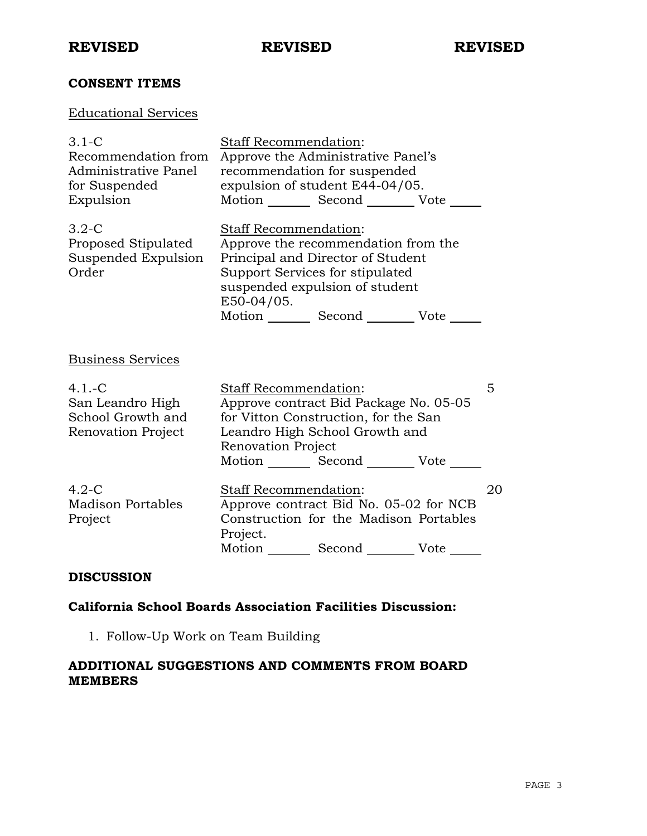# **CONSENT ITEMS**

# Educational Services

| $3.1-C$<br>Recommendation from<br>Administrative Panel<br>for Suspended<br>Expulsion | <b>Staff Recommendation:</b><br>Approve the Administrative Panel's<br>recommendation for suspended<br>expulsion of student E44-04/05.<br>Motion _________ Second __________ Vote ______                                  |    |
|--------------------------------------------------------------------------------------|--------------------------------------------------------------------------------------------------------------------------------------------------------------------------------------------------------------------------|----|
| $3.2-C$<br>Proposed Stipulated<br>Suspended Expulsion<br>Order                       | Staff Recommendation:<br>Approve the recommendation from the<br>Principal and Director of Student<br>Support Services for stipulated<br>suspended expulsion of student<br>E50-04/05.<br>Motion Second Vote               |    |
| <b>Business Services</b>                                                             |                                                                                                                                                                                                                          |    |
| $4.1 - C$<br>San Leandro High<br>School Growth and<br>Renovation Project             | <b>Staff Recommendation:</b><br>Approve contract Bid Package No. 05-05<br>for Vitton Construction, for the San<br>Leandro High School Growth and<br>Renovation Project<br>Motion _________ Second __________ Vote ______ | 5  |
| $4.2-C$<br><b>Madison Portables</b><br>Project                                       | Staff Recommendation:<br>Approve contract Bid No. 05-02 for NCB<br>Construction for the Madison Portables<br>Project.<br>Motion<br>Vote                                                                                  | 20 |

## **DISCUSSION**

### **California School Boards Association Facilities Discussion:**

1. Follow-Up Work on Team Building

# **ADDITIONAL SUGGESTIONS AND COMMENTS FROM BOARD MEMBERS**